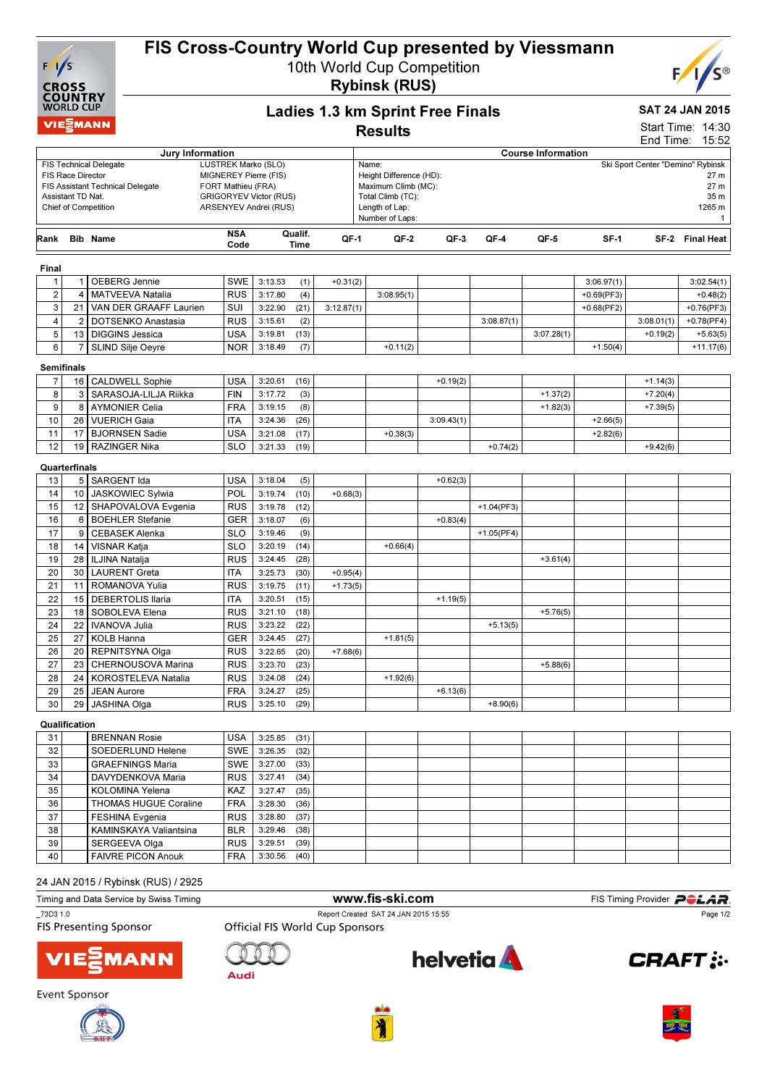

# FIS Cross-Country World Cup presented by Viessmann

10th World Cup Competition Rybinsk (RUS)



## SAT 24 JAN 2015

|                         | <b>WORLD CUP</b>                       |                                                                        |                                                                                                       |         |                 |            | <b>Ladies 1.3 km Sprint Free Finals</b>                                                                  |            |              |                           |               |                                   | <b>SAT 24 JAN 2015</b>                         |
|-------------------------|----------------------------------------|------------------------------------------------------------------------|-------------------------------------------------------------------------------------------------------|---------|-----------------|------------|----------------------------------------------------------------------------------------------------------|------------|--------------|---------------------------|---------------|-----------------------------------|------------------------------------------------|
|                         | <b>VIEMANN</b>                         |                                                                        |                                                                                                       |         |                 |            | <b>Results</b>                                                                                           |            |              |                           |               |                                   | Start Time: 14:30                              |
|                         |                                        |                                                                        |                                                                                                       |         |                 |            |                                                                                                          |            |              |                           |               |                                   | End Time: 15:52                                |
|                         |                                        | Jury Information<br><b>FIS Technical Delegate</b>                      | LUSTREK Marko (SLO)                                                                                   |         |                 |            | Name:                                                                                                    |            |              | <b>Course Information</b> |               | Ski Sport Center "Demino" Rybinsk |                                                |
|                         | FIS Race Director<br>Assistant TD Nat. | <b>FIS Assistant Technical Delegate</b><br><b>Chief of Competition</b> | MIGNEREY Pierre (FIS)<br>FORT Mathieu (FRA)<br><b>GRIGORYEV Victor (RUS)</b><br>ARSENYEV Andrei (RUS) |         |                 |            | Height Difference (HD):<br>Maximum Climb (MC):<br>Total Climb (TC):<br>Length of Lap:<br>Number of Laps: |            |              |                           |               |                                   | 27 m<br>27 m<br>35 m<br>1265 m<br>$\mathbf{1}$ |
| Rank                    |                                        | <b>Bib Name</b>                                                        | <b>NSA</b><br>Code                                                                                    |         | Qualif.<br>Time | QF-1       | QF-2                                                                                                     | QF-3       | QF-4         | QF-5                      | $SF-1$        |                                   | SF-2 Final Heat                                |
| Final                   |                                        |                                                                        |                                                                                                       |         |                 |            |                                                                                                          |            |              |                           |               |                                   |                                                |
| $\mathbf{1}$            | $1 \mid$                               | OEBERG Jennie                                                          | <b>SWE</b>                                                                                            | 3:13.53 | (1)             | $+0.31(2)$ |                                                                                                          |            |              |                           | 3:06.97(1)    |                                   | 3:02.54(1)                                     |
| $\overline{\mathbf{c}}$ | 4                                      | <b>MATVEEVA Natalia</b>                                                | <b>RUS</b>                                                                                            | 3:17.80 | (4)             |            | 3:08.95(1)                                                                                               |            |              |                           | $+0.69$ (PF3) |                                   | $+0.48(2)$                                     |
| 3                       | 21                                     | VAN DER GRAAFF Laurien                                                 | SUI                                                                                                   | 3:22.90 | (21)            | 3:12.87(1) |                                                                                                          |            |              |                           | $+0.68(PF2)$  |                                   | $+0.76$ (PF3)                                  |
| 4                       | 2                                      | DOTSENKO Anastasia                                                     | <b>RUS</b>                                                                                            | 3:15.61 | (2)             |            |                                                                                                          |            | 3:08.87(1)   |                           |               | 3:08.01(1)                        | $+0.78$ (PF4)                                  |
| 5                       | 13                                     | <b>DIGGINS Jessica</b>                                                 | USA                                                                                                   | 3:19.81 | (13)            |            |                                                                                                          |            |              | 3:07.28(1)                |               | $+0.19(2)$                        | $+5.63(5)$                                     |
| 6                       | $\overline{7}$                         | SLIND Silje Oeyre                                                      | NOR.                                                                                                  | 3:18.49 | (7)             |            | $+0.11(2)$                                                                                               |            |              |                           | $+1.50(4)$    |                                   | $+11.17(6)$                                    |
| <b>Semifinals</b>       |                                        |                                                                        |                                                                                                       |         |                 |            |                                                                                                          |            |              |                           |               |                                   |                                                |
| $\overline{7}$          | 16                                     | <b>CALDWELL Sophie</b>                                                 | USA                                                                                                   | 3:20.61 | (16)            |            |                                                                                                          | $+0.19(2)$ |              |                           |               | $+1.14(3)$                        |                                                |
| 8                       | 3                                      | SARASOJA-LILJA Riikka                                                  | <b>FIN</b>                                                                                            | 3:17.72 | (3)             |            |                                                                                                          |            |              | $+1.37(2)$                |               | $+7.20(4)$                        |                                                |
| 9                       | 8                                      | <b>AYMONIER Celia</b>                                                  | <b>FRA</b>                                                                                            | 3:19.15 | (8)             |            |                                                                                                          |            |              | $+1.82(3)$                |               | $+7.39(5)$                        |                                                |
| 10                      | 26                                     | <b>VUERICH Gaia</b>                                                    | <b>ITA</b>                                                                                            | 3:24.36 | (26)            |            |                                                                                                          | 3:09.43(1) |              |                           | $+2.66(5)$    |                                   |                                                |
| 11                      | 17                                     | <b>BJORNSEN Sadie</b>                                                  | USA                                                                                                   | 3:21.08 | (17)            |            | $+0.38(3)$                                                                                               |            |              |                           | $+2.82(6)$    |                                   |                                                |
| 12                      | 19                                     | <b>RAZINGER Nika</b>                                                   | <b>SLO</b>                                                                                            | 3:21.33 | (19)            |            |                                                                                                          |            | $+0.74(2)$   |                           |               | $+9.42(6)$                        |                                                |
|                         | Quarterfinals                          |                                                                        |                                                                                                       |         |                 |            |                                                                                                          |            |              |                           |               |                                   |                                                |
| 13                      |                                        | 5   SARGENT Ida                                                        | <b>USA</b>                                                                                            | 3:18.04 | (5)             |            |                                                                                                          | $+0.62(3)$ |              |                           |               |                                   |                                                |
| 14                      |                                        | 10   JASKOWIEC Sylwia                                                  | POL                                                                                                   | 3:19.74 | (10)            | $+0.68(3)$ |                                                                                                          |            |              |                           |               |                                   |                                                |
| 15                      |                                        | 12   SHAPOVALOVA Evgenia                                               | <b>RUS</b>                                                                                            | 3:19.78 | (12)            |            |                                                                                                          |            | $+1.04(PF3)$ |                           |               |                                   |                                                |
| 16                      | 6                                      | <b>BOEHLER Stefanie</b>                                                | <b>GER</b>                                                                                            | 3:18.07 | (6)             |            |                                                                                                          | $+0.83(4)$ |              |                           |               |                                   |                                                |
| 17                      | 9                                      | <b>CEBASEK Alenka</b>                                                  | <b>SLO</b>                                                                                            | 3:19.46 | (9)             |            |                                                                                                          |            | $+1.05(PF4)$ |                           |               |                                   |                                                |
| 18                      | 14                                     | VISNAR Katja                                                           | <b>SLO</b>                                                                                            | 3:20.19 | (14)            |            | $+0.66(4)$                                                                                               |            |              |                           |               |                                   |                                                |
| 19                      | 28                                     | <b>ILJINA Natalja</b>                                                  | <b>RUS</b>                                                                                            | 3:24.45 | (28)            |            |                                                                                                          |            |              | $+3.61(4)$                |               |                                   |                                                |
| 20                      | 30                                     | <b>LAURENT Greta</b>                                                   | ITA                                                                                                   | 3:25.73 | (30)            | $+0.95(4)$ |                                                                                                          |            |              |                           |               |                                   |                                                |
| 21                      | 11                                     | ROMANOVA Yulia                                                         | <b>RUS</b>                                                                                            | 3:19.75 | (11)            | $+1.73(5)$ |                                                                                                          |            |              |                           |               |                                   |                                                |
| 22                      | 15                                     | <b>DEBERTOLIS Ilaria</b>                                               | ITA                                                                                                   | 3:20.51 | (15)            |            |                                                                                                          | $+1.19(5)$ |              |                           |               |                                   |                                                |
| 23                      | 18                                     | SOBOLEVA Elena                                                         | <b>RUS</b>                                                                                            | 3:21.10 | (18)            |            |                                                                                                          |            |              | $+5.76(5)$                |               |                                   |                                                |
| 24                      | 22                                     | <b>IVANOVA Julia</b>                                                   | <b>RUS</b>                                                                                            | 3:23.22 | (22)            |            |                                                                                                          |            | $+5.13(5)$   |                           |               |                                   |                                                |
| 25                      | 27                                     | <b>KOLB Hanna</b>                                                      | GER                                                                                                   | 3:24.45 | (27)            |            | $+1.81(5)$                                                                                               |            |              |                           |               |                                   |                                                |
| 26                      | 20                                     | REPNITSYNA Olga                                                        | <b>RUS</b>                                                                                            | 3:22.65 | (20)            | $+7.68(6)$ |                                                                                                          |            |              |                           |               |                                   |                                                |
| 27                      | 23                                     | CHERNOUSOVA Marina                                                     | <b>RUS</b>                                                                                            | 3:23.70 | (23)            |            |                                                                                                          |            |              | $+5.88(6)$                |               |                                   |                                                |
| 28                      |                                        | 24   KOROSTELEVA Natalia                                               | <b>RUS</b>                                                                                            | 3:24.08 | (24)            |            | $+1.92(6)$                                                                                               |            |              |                           |               |                                   |                                                |
| 29                      |                                        | 25   JEAN Aurore                                                       | FRA                                                                                                   | 3:24.27 | (25)            |            |                                                                                                          | $+6.13(6)$ |              |                           |               |                                   |                                                |
| 30                      | 29                                     | <b>JASHINA Olga</b>                                                    | <b>RUS</b>                                                                                            | 3:25.10 | (29)            |            |                                                                                                          |            | $+8.90(6)$   |                           |               |                                   |                                                |
|                         | Qualification                          |                                                                        |                                                                                                       |         |                 |            |                                                                                                          |            |              |                           |               |                                   |                                                |
| 31                      |                                        | <b>BRENNAN Rosie</b>                                                   | <b>USA</b>                                                                                            | 3:25.85 | (31)            |            |                                                                                                          |            |              |                           |               |                                   |                                                |
| 32                      |                                        | SOEDERLUND Helene                                                      | SWE                                                                                                   | 3:26.35 | (32)            |            |                                                                                                          |            |              |                           |               |                                   |                                                |
| 33                      |                                        | <b>GRAEFNINGS Maria</b>                                                | SWE                                                                                                   | 3:27.00 | (33)            |            |                                                                                                          |            |              |                           |               |                                   |                                                |
| 34                      |                                        | DAVYDENKOVA Maria                                                      | <b>RUS</b>                                                                                            | 3:27.41 | (34)            |            |                                                                                                          |            |              |                           |               |                                   |                                                |
| 35                      |                                        | KOLOMINA Yelena                                                        | <b>KAZ</b>                                                                                            | 3:27.47 | (35)            |            |                                                                                                          |            |              |                           |               |                                   |                                                |
| 36                      |                                        | <b>THOMAS HUGUE Coraline</b>                                           | <b>FRA</b>                                                                                            | 3:28.30 | (36)            |            |                                                                                                          |            |              |                           |               |                                   |                                                |
| 37                      |                                        | <b>FESHINA Evgenia</b>                                                 | <b>RUS</b>                                                                                            | 3:28.80 | (37)            |            |                                                                                                          |            |              |                           |               |                                   |                                                |

#### 24 JAN 2015 / Rybinsk (RUS) / 2925

| iming and Data Service by Swiss Timing |  |  |  |
|----------------------------------------|--|--|--|

38 KAMINSKAYA Valiantsina BLR 3:29.46 (38) 39 SERGEEVA Olga RUS 3:29.51 (39)<br>40 FAIVRE PICON Anouk FRA 3:30.56 (40) 40 FAIVRE PICON Anouk FRA 3:30.56 (40)

**FIS Presenting Sponsor** 

\_73D3 1.0 Report Created SAT 24 JAN 2015 15:55 **Official FIS World Cup Sponsors** 

ΊΕ







WWW.fis-ski.com FIS Timing Provider POLAR.



**CRAFT:** 

Page 1/2